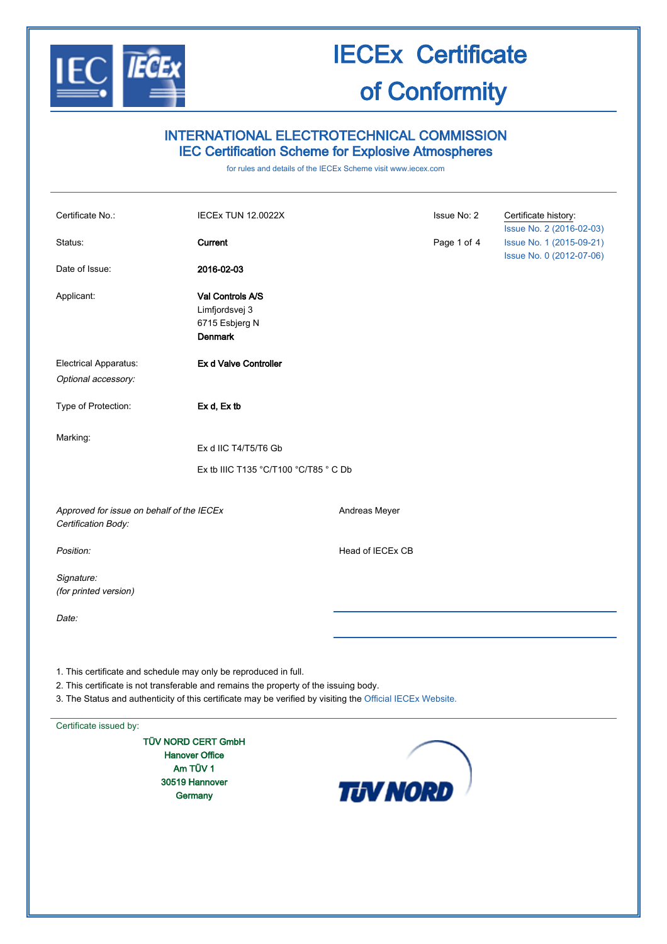

### INTERNATIONAL ELECTROTECHNICAL COMMISSION IEC Certification Scheme for Explosive Atmospheres

for rules and details of the IECEx Scheme visit [www.iecex.com](http://www.iecex.com/)

| Certificate No.:                                                                                                                                                                                                                                                        | IECEx TUN 12.0022X                                                     |                  | Issue No: 2 | Certificate history:                                                             |
|-------------------------------------------------------------------------------------------------------------------------------------------------------------------------------------------------------------------------------------------------------------------------|------------------------------------------------------------------------|------------------|-------------|----------------------------------------------------------------------------------|
| Status:                                                                                                                                                                                                                                                                 | Current                                                                |                  | Page 1 of 4 | Issue No. 2 (2016-02-03)<br>Issue No. 1 (2015-09-21)<br>Issue No. 0 (2012-07-06) |
| Date of Issue:                                                                                                                                                                                                                                                          | 2016-02-03                                                             |                  |             |                                                                                  |
| Applicant:                                                                                                                                                                                                                                                              | Val Controls A/S<br>Limfjordsvej 3<br>6715 Esbjerg N<br><b>Denmark</b> |                  |             |                                                                                  |
| Electrical Apparatus:<br>Optional accessory:                                                                                                                                                                                                                            | Ex d Valve Controller                                                  |                  |             |                                                                                  |
| Type of Protection:                                                                                                                                                                                                                                                     | Ex d, Ex tb                                                            |                  |             |                                                                                  |
| Marking:                                                                                                                                                                                                                                                                | Ex d IIC T4/T5/T6 Gb                                                   |                  |             |                                                                                  |
|                                                                                                                                                                                                                                                                         | Ex tb IIIC T135 °C/T100 °C/T85 °C Db                                   |                  |             |                                                                                  |
| Approved for issue on behalf of the IECEx<br>Certification Body:                                                                                                                                                                                                        |                                                                        | Andreas Meyer    |             |                                                                                  |
| Position:                                                                                                                                                                                                                                                               |                                                                        | Head of IECEx CB |             |                                                                                  |
| Signature:<br>(for printed version)                                                                                                                                                                                                                                     |                                                                        |                  |             |                                                                                  |
| Date:                                                                                                                                                                                                                                                                   |                                                                        |                  |             |                                                                                  |
| 1. This certificate and schedule may only be reproduced in full.<br>2. This certificate is not transferable and remains the property of the issuing body.<br>3. The Status and authenticity of this certificate may be verified by visiting the Official IECEx Website. |                                                                        |                  |             |                                                                                  |
| Certificate issued by:                                                                                                                                                                                                                                                  |                                                                        |                  |             |                                                                                  |
| TÜV NORD CERT GmbH<br><b>Hanover Office</b>                                                                                                                                                                                                                             |                                                                        |                  |             |                                                                                  |
| Am TÜV 1                                                                                                                                                                                                                                                                |                                                                        |                  |             |                                                                                  |
| 30519 Hannover                                                                                                                                                                                                                                                          |                                                                        | <b>TJV NORD</b>  |             |                                                                                  |
| Germany                                                                                                                                                                                                                                                                 |                                                                        |                  |             |                                                                                  |
|                                                                                                                                                                                                                                                                         |                                                                        |                  |             |                                                                                  |
|                                                                                                                                                                                                                                                                         |                                                                        |                  |             |                                                                                  |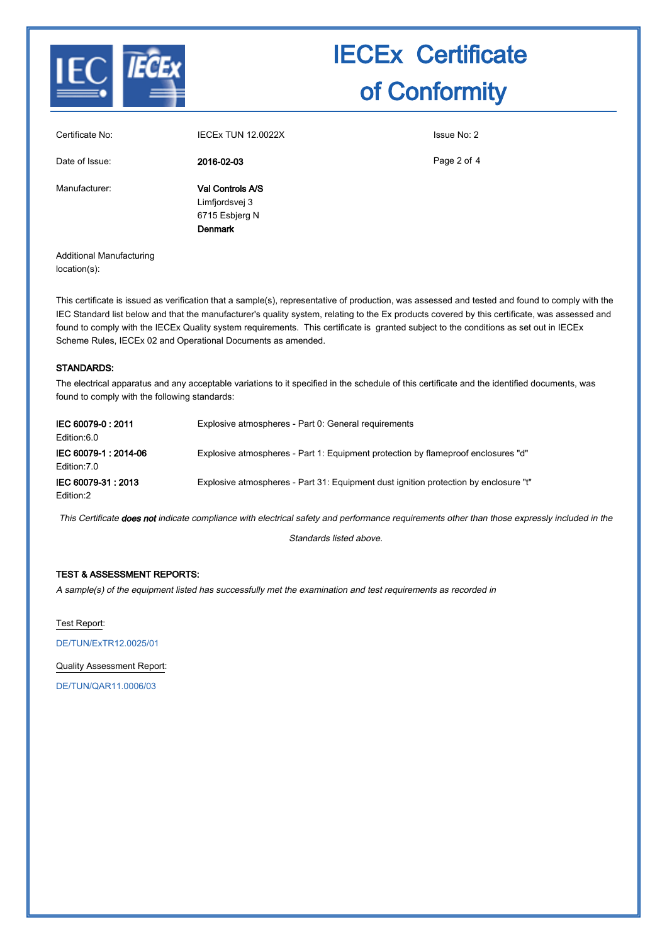

| Certificate No: | <b>IECEX TUN 12.0022X</b>                                              | Issue No: 2 |
|-----------------|------------------------------------------------------------------------|-------------|
| Date of Issue:  | 2016-02-03                                                             | Page 2 of 4 |
| Manufacturer:   | Val Controls A/S<br>Limfjordsvej 3<br>6715 Esbjerg N<br><b>Denmark</b> |             |

Additional Manufacturing location(s):

This certificate is issued as verification that a sample(s), representative of production, was assessed and tested and found to comply with the IEC Standard list below and that the manufacturer's quality system, relating to the Ex products covered by this certificate, was assessed and found to comply with the IECEx Quality system requirements. This certificate is granted subject to the conditions as set out in IECEx Scheme Rules, IECEx 02 and Operational Documents as amended.

### STANDARDS:

The electrical apparatus and any acceptable variations to it specified in the schedule of this certificate and the identified documents, was found to comply with the following standards:

| IEC 60079-0: 2011<br>Edition:6.0      | Explosive atmospheres - Part 0: General requirements                                 |
|---------------------------------------|--------------------------------------------------------------------------------------|
| IEC 60079-1 : 2014-06<br>Edition: 7.0 | Explosive atmospheres - Part 1: Equipment protection by flameproof enclosures "d"    |
| IEC 60079-31 : 2013<br>Edition:2      | Explosive atmospheres - Part 31: Equipment dust ignition protection by enclosure "t" |

This Certificate does not indicate compliance with electrical safety and performance requirements other than those expressly included in the

Standards listed above.

### TEST & ASSESSMENT REPORTS:

A sample(s) of the equipment listed has successfully met the examination and test requirements as recorded in

Test Report:

[DE/TUN/ExTR12.0025/01](http://iecex.iec.ch/iecex/IECExWeb.nsf/ExTRNumber/DE/TUN/ExTR12.0025/01?OpenDocument)

Quality Assessment Report:

[DE/TUN/QAR11.0006/03](http://iecex.iec.ch/iecex/IECExWeb.nsf/QARNumber/DE/TUN/QAR11.0006/03?OpenDocument)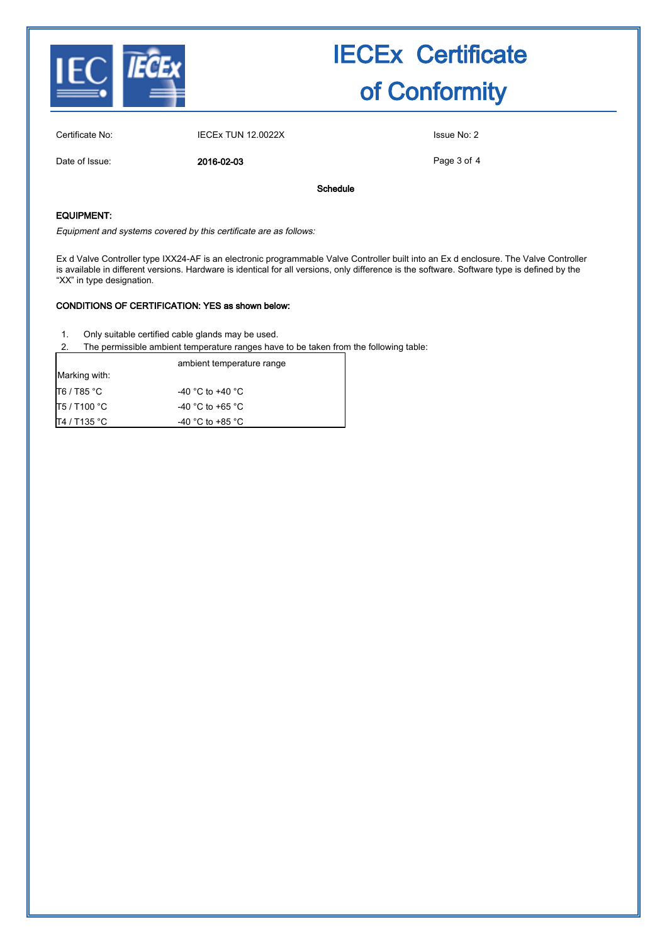

Page 3 of 4

Certificate No: IECEx TUN 12.0022X Issue No: 2 Date of Issue: 2016-02-03 Schedule

### EQUIPMENT:

Equipment and systems covered by this certificate are as follows:

Ex d Valve Controller type IXX24-AF is an electronic programmable Valve Controller built into an Ex d enclosure. The Valve Controller is available in different versions. Hardware is identical for all versions, only difference is the software. Software type is defined by the "XX" in type designation.

### CONDITIONS OF CERTIFICATION: YES as shown below:

- 1. Only suitable certified cable glands may be used.
- 2. The permissible ambient temperature ranges have to be taken from the following table:

|               | ambient temperature range |
|---------------|---------------------------|
| Marking with: |                           |
| T6 / T85 °C   | -40 °C to +40 °C          |
| T5 / T100 °C  | -40 °C to +65 °C          |
| T4 / T135 °C  | -40 °C to +85 °C          |